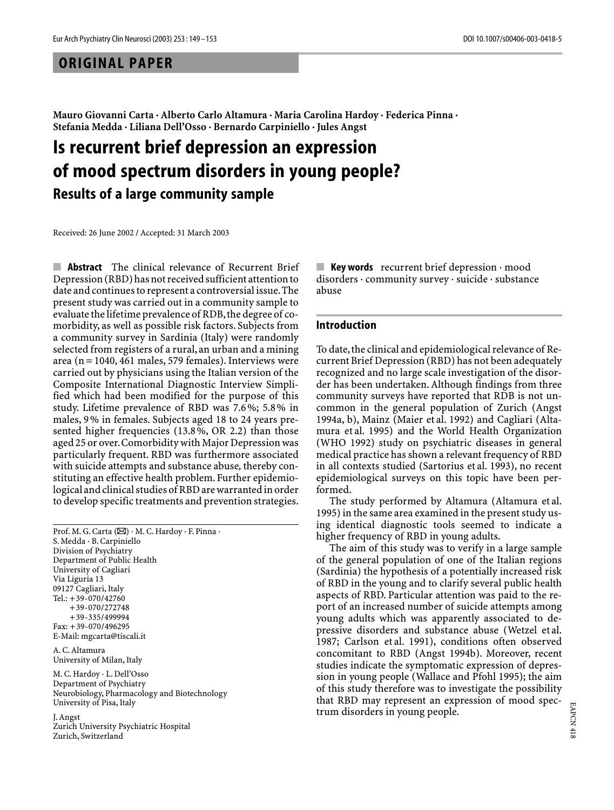# ORIGINAL PAPER

**Mauro Giovanni Carta · Alberto Carlo Altamura · Maria Carolina Hardoy · Federica Pinna · Stefania Medda · Liliana Dell'Osso · Bernardo Carpiniello · Jules Angst**

# Is recurrent brief depression an expression of mood spectrum disorders in young people? Results of a large community sample

Received: 26 June 2002 / Accepted: 31 March 2003

■ **Abstract** The clinical relevance of Recurrent Brief Depression (RBD) has not received sufficient attention to date and continues to represent a controversial issue.The present study was carried out in a community sample to evaluate the lifetime prevalence of RDB, the degree of comorbidity, as well as possible risk factors. Subjects from a community survey in Sardinia (Italy) were randomly selected from registers of a rural, an urban and a mining area (n = 1040, 461 males, 579 females). Interviews were carried out by physicians using the Italian version of the Composite International Diagnostic Interview Simplified which had been modified for the purpose of this study. Lifetime prevalence of RBD was 7.6 %; 5.8 % in males, 9 % in females. Subjects aged 18 to 24 years presented higher frequencies (13.8 %, OR 2.2) than those aged 25 or over.Comorbidity with Major Depression was particularly frequent. RBD was furthermore associated with suicide attempts and substance abuse*,* thereby constituting an effective health problem. Further epidemiological and clinical studies of RBD are warranted in order to develop specific treatments and prevention strategies.

Prof. M. G. Carta ( $\boxtimes$ ) · M. C. Hardoy · F. Pinna · S. Medda · B. Carpiniello Division of Psychiatry Department of Public Health University of Cagliari Via Liguria 13 09127 Cagliari, Italy Tel.: +39-070/42760 +39-070/272748 +39-335/499994 Fax: +39-070/496295 E-Mail: mgcarta@tiscali.it A. C. Altamura University of Milan, Italy

M. C. Hardoy · L. Dell'Osso Department of Psychiatry Neurobiology, Pharmacology and Biotechnology University of Pisa, Italy

J. Angst Zurich University Psychiatric Hospital Zurich, Switzerland

**E** Key words recurrent brief depression  $\cdot$  mood disorders · community survey · suicide · substance abuse

# Introduction

To date, the clinical and epidemiological relevance of Recurrent Brief Depression (RBD) has not been adequately recognized and no large scale investigation of the disorder has been undertaken. Although findings from three community surveys have reported that RDB is not uncommon in the general population of Zurich (Angst 1994a, b), Mainz (Maier et al. 1992) and Cagliari (Altamura et al. 1995) and the World Health Organization (WHO 1992) study on psychiatric diseases in general medical practice has shown a relevant frequency of RBD in all contexts studied (Sartorius et al. 1993), no recent epidemiological surveys on this topic have been performed.

The study performed by Altamura (Altamura et al. 1995) in the same area examined in the present study using identical diagnostic tools seemed to indicate a higher frequency of RBD in young adults.

The aim of this study was to verify in a large sample of the general population of one of the Italian regions (Sardinia) the hypothesis of a potentially increased risk of RBD in the young and to clarify several public health aspects of RBD. Particular attention was paid to the report of an increased number of suicide attempts among young adults which was apparently associated to depressive disorders and substance abuse (Wetzel et al. 1987; Carlson et al. 1991), conditions often observed concomitant to RBD (Angst 1994b). Moreover, recent studies indicate the symptomatic expression of depression in young people (Wallace and Pfohl 1995); the aim of this study therefore was to investigate the possibility that RBD may represent an expression of mood spectrum disorders in young people.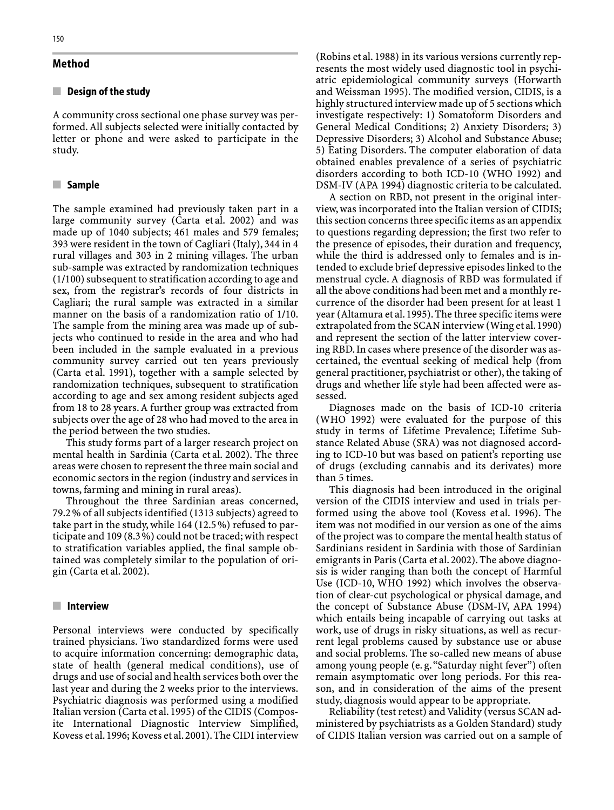# Method

# ■ Design of the study

A community cross sectional one phase survey was performed. All subjects selected were initially contacted by letter or phone and were asked to participate in the study.

## ■ Sample

The sample examined had previously taken part in a large community survey (Carta et al. 2002) and was made up of 1040 subjects; 461 males and 579 females; 393 were resident in the town of Cagliari (Italy), 344 in 4 rural villages and 303 in 2 mining villages. The urban sub-sample was extracted by randomization techniques (1/100) subsequent to stratification according to age and sex, from the registrar's records of four districts in Cagliari; the rural sample was extracted in a similar manner on the basis of a randomization ratio of 1/10. The sample from the mining area was made up of subjects who continued to reside in the area and who had been included in the sample evaluated in a previous community survey carried out ten years previously (Carta et al. 1991), together with a sample selected by randomization techniques, subsequent to stratification according to age and sex among resident subjects aged from 18 to 28 years. A further group was extracted from subjects over the age of 28 who had moved to the area in the period between the two studies.

This study forms part of a larger research project on mental health in Sardinia (Carta et al. 2002). The three areas were chosen to represent the three main social and economic sectors in the region (industry and services in towns, farming and mining in rural areas).

Throughout the three Sardinian areas concerned, 79.2 % of all subjects identified (1313 subjects) agreed to take part in the study, while 164 (12.5 %) refused to participate and 109 (8.3 %) could not be traced; with respect to stratification variables applied, the final sample obtained was completely similar to the population of origin (Carta et al. 2002).

#### ■ Interview

Personal interviews were conducted by specifically trained physicians. Two standardized forms were used to acquire information concerning: demographic data, state of health (general medical conditions), use of drugs and use of social and health services both over the last year and during the 2 weeks prior to the interviews. Psychiatric diagnosis was performed using a modified Italian version (Carta et al. 1995) of the CIDIS (Composite International Diagnostic Interview Simplified, Kovess et al. 1996; Kovess et al. 2001). The CIDI interview (Robins et al. 1988) in its various versions currently represents the most widely used diagnostic tool in psychiatric epidemiological community surveys (Horwarth and Weissman 1995). The modified version, CIDIS, is a highly structured interview made up of 5 sections which investigate respectively: 1) Somatoform Disorders and General Medical Conditions; 2) Anxiety Disorders; 3) Depressive Disorders; 3) Alcohol and Substance Abuse; 5) Eating Disorders. The computer elaboration of data obtained enables prevalence of a series of psychiatric disorders according to both ICD-10 (WHO 1992) and DSM-IV (APA 1994) diagnostic criteria to be calculated.

A section on RBD, not present in the original interview, was incorporated into the Italian version of CIDIS; this section concerns three specific items as an appendix to questions regarding depression; the first two refer to the presence of episodes, their duration and frequency, while the third is addressed only to females and is intended to exclude brief depressive episodes linked to the menstrual cycle. A diagnosis of RBD was formulated if all the above conditions had been met and a monthly recurrence of the disorder had been present for at least 1 year (Altamura et al. 1995). The three specific items were extrapolated from the SCAN interview (Wing et al.1990) and represent the section of the latter interview covering RBD. In cases where presence of the disorder was ascertained, the eventual seeking of medical help (from general practitioner, psychiatrist or other), the taking of drugs and whether life style had been affected were assessed.

Diagnoses made on the basis of ICD-10 criteria (WHO 1992) were evaluated for the purpose of this study in terms of Lifetime Prevalence; Lifetime Substance Related Abuse (SRA) was not diagnosed according to ICD-10 but was based on patient's reporting use of drugs (excluding cannabis and its derivates) more than 5 times.

This diagnosis had been introduced in the original version of the CIDIS interview and used in trials performed using the above tool (Kovess et al. 1996). The item was not modified in our version as one of the aims of the project was to compare the mental health status of Sardinians resident in Sardinia with those of Sardinian emigrants in Paris (Carta et al. 2002). The above diagnosis is wider ranging than both the concept of Harmful Use (ICD-10, WHO 1992) which involves the observation of clear-cut psychological or physical damage, and the concept of Substance Abuse (DSM-IV, APA 1994) which entails being incapable of carrying out tasks at work, use of drugs in risky situations, as well as recurrent legal problems caused by substance use or abuse and social problems. The so-called new means of abuse among young people (e. g."Saturday night fever") often remain asymptomatic over long periods. For this reason, and in consideration of the aims of the present study, diagnosis would appear to be appropriate.

Reliability (test retest) and Validity (versus SCAN administered by psychiatrists as a Golden Standard) study of CIDIS Italian version was carried out on a sample of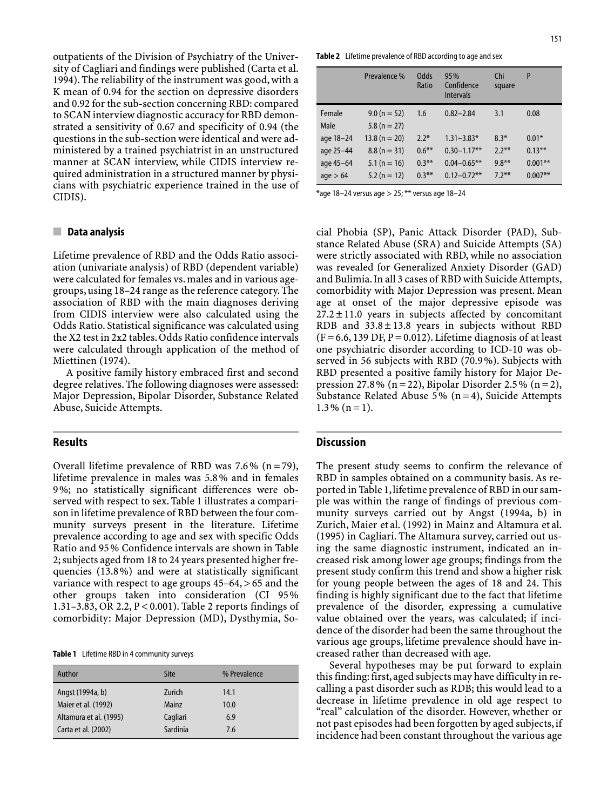outpatients of the Division of Psychiatry of the University of Cagliari and findings were published (Carta et al. 1994). The reliability of the instrument was good, with a K mean of 0.94 for the section on depressive disorders and 0.92 for the sub-section concerning RBD: compared to SCAN interview diagnostic accuracy for RBD demonstrated a sensitivity of 0.67 and specificity of 0.94 (the questions in the sub-section were identical and were administered by a trained psychiatrist in an unstructured manner at SCAN interview, while CIDIS interview required administration in a structured manner by physicians with psychiatric experience trained in the use of CIDIS).

# ■ Data analysis

Lifetime prevalence of RBD and the Odds Ratio association (univariate analysis) of RBD (dependent variable) were calculated for females vs. males and in various agegroups, using 18–24 range as the reference category. The association of RBD with the main diagnoses deriving from CIDIS interview were also calculated using the Odds Ratio. Statistical significance was calculated using the X2 test in 2x2 tables. Odds Ratio confidence intervals were calculated through application of the method of Miettinen (1974).

A positive family history embraced first and second degree relatives. The following diagnoses were assessed: Major Depression, Bipolar Disorder, Substance Related Abuse, Suicide Attempts.

## Results

Overall lifetime prevalence of RBD was  $7.6\%$  (n = 79), lifetime prevalence in males was 5.8 % and in females 9 %; no statistically significant differences were observed with respect to sex. Table 1 illustrates a comparison in lifetime prevalence of RBD between the four community surveys present in the literature. Lifetime prevalence according to age and sex with specific Odds Ratio and 95 % Confidence intervals are shown in Table 2; subjects aged from 18 to 24 years presented higher frequencies (13.8 %) and were at statistically significant variance with respect to age groups 45–64, > 65 and the other groups taken into consideration (CI 95 % 1.31–3.83, OR 2.2, P < 0.001). Table 2 reports findings of comorbidity: Major Depression (MD), Dysthymia, So-

|  |  | Table 1 Lifetime RBD in 4 community surveys |
|--|--|---------------------------------------------|
|--|--|---------------------------------------------|

| Author                 | Site     | % Prevalence |
|------------------------|----------|--------------|
| Angst (1994a, b)       | Zurich   | 14.1         |
| Maier et al. (1992)    | Mainz    | 10.0         |
| Altamura et al. (1995) | Cagliari | 6.9          |
| Carta et al. (2002)    | Sardinia | 7.6          |

Table 2 Lifetime prevalence of RBD according to age and sex

|                | Prevalence %                    | Odds<br>Ratio | 95%<br>Confidence<br><b>Intervals</b> | Chi<br>square | P         |
|----------------|---------------------------------|---------------|---------------------------------------|---------------|-----------|
| Female<br>Male | $9.0 (n = 52)$<br>$5.8(n = 27)$ | 1.6           | $0.82 - 2.84$                         | 3.1           | 0.08      |
| age 18-24      | $13.8(n = 20)$                  | $2.2*$        | $1.31 - 3.83*$                        | $8.3*$        | $0.01*$   |
| age 25-44      | $8.8(n = 31)$                   | $0.6***$      | $0.30 - 1.17**$                       | $2.2**$       | $0.13***$ |
| age 45-64      | $5.1(n = 16)$                   | $0.3***$      | $0.04 - 0.65***$                      | $9.8***$      | $0.001**$ |
| age > 64       | $5.2(n = 12)$                   | $0.3***$      | $0.12 - 0.72**$                       | $7.7***$      | $0.007**$ |

\*age 18–24 versus age > 25; \*\* versus age 18–24

cial Phobia (SP), Panic Attack Disorder (PAD), Substance Related Abuse (SRA) and Suicide Attempts (SA) were strictly associated with RBD, while no association was revealed for Generalized Anxiety Disorder (GAD) and Bulimia.In all 3 cases of RBD with Suicide Attempts, comorbidity with Major Depression was present. Mean age at onset of the major depressive episode was  $27.2 \pm 11.0$  years in subjects affected by concomitant RDB and  $33.8 \pm 13.8$  years in subjects without RBD  $(F = 6.6, 139 \text{ DF}, P = 0.012)$ . Lifetime diagnosis of at least one psychiatric disorder according to ICD-10 was observed in 56 subjects with RBD (70.9 %). Subjects with RBD presented a positive family history for Major Depression 27.8% (n = 22), Bipolar Disorder 2.5% (n = 2), Substance Related Abuse 5% ( $n=4$ ), Suicide Attempts  $1.3\%$  (n = 1).

#### Discussion

The present study seems to confirm the relevance of RBD in samples obtained on a community basis. As reported in Table 1,lifetime prevalence of RBD in our sample was within the range of findings of previous community surveys carried out by Angst (1994a, b) in Zurich, Maier et al. (1992) in Mainz and Altamura et al. (1995) in Cagliari. The Altamura survey, carried out using the same diagnostic instrument, indicated an increased risk among lower age groups; findings from the present study confirm this trend and show a higher risk for young people between the ages of 18 and 24. This finding is highly significant due to the fact that lifetime prevalence of the disorder, expressing a cumulative value obtained over the years, was calculated; if incidence of the disorder had been the same throughout the various age groups, lifetime prevalence should have increased rather than decreased with age.

Several hypotheses may be put forward to explain this finding: first,aged subjects may have difficulty in recalling a past disorder such as RDB; this would lead to a decrease in lifetime prevalence in old age respect to "real" calculation of the disorder. However, whether or not past episodes had been forgotten by aged subjects, if incidence had been constant throughout the various age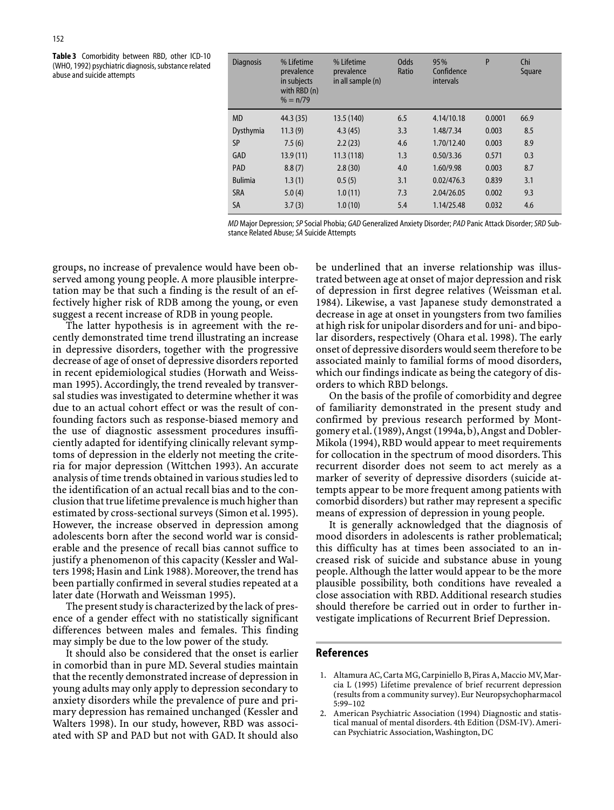Table 3 Comorbidity between RBD, other ICD-10 (WHO, 1992) psychiatric diagnosis, substance related abuse and suicide attempts

| <b>Diagnosis</b> | % Lifetime<br>prevalence<br>in subjects<br>with RBD (n)<br>$% = n/79$ | % Lifetime<br>prevalence<br>in all sample (n) | Odds<br>Ratio | 95%<br>Confidence<br>intervals | P      | Chi<br>Square |
|------------------|-----------------------------------------------------------------------|-----------------------------------------------|---------------|--------------------------------|--------|---------------|
| <b>MD</b>        | 44.3 (35)                                                             | 13.5 (140)                                    | 6.5           | 4.14/10.18                     | 0.0001 | 66.9          |
| Dysthymia        | 11.3(9)                                                               | 4.3(45)                                       | 3.3           | 1.48/7.34                      | 0.003  | 8.5           |
| <b>SP</b>        | 7.5(6)                                                                | 2.2(23)                                       | 4.6           | 1.70/12.40                     | 0.003  | 8.9           |
| GAD              | 13.9(11)                                                              | 11.3(118)                                     | 1.3           | 0.50/3.36                      | 0.571  | 0.3           |
| PAD              | 8.8(7)                                                                | 2.8(30)                                       | 4.0           | 1.60/9.98                      | 0.003  | 8.7           |
| <b>Bulimia</b>   | 1.3(1)                                                                | 0.5(5)                                        | 3.1           | 0.02/476.3                     | 0.839  | 3.1           |
| <b>SRA</b>       | 5.0(4)                                                                | 1.0(11)                                       | 7.3           | 2.04/26.05                     | 0.002  | 9.3           |
| <b>SA</b>        | 3.7(3)                                                                | 1.0(10)                                       | 5.4           | 1.14/25.48                     | 0.032  | 4.6           |

MD Major Depression; SP Social Phobia; GAD Generalized Anxiety Disorder; PAD Panic Attack Disorder; SRD Substance Related Abuse; SA Suicide Attempts

groups, no increase of prevalence would have been observed among young people. A more plausible interpretation may be that such a finding is the result of an effectively higher risk of RDB among the young, or even suggest a recent increase of RDB in young people.

The latter hypothesis is in agreement with the recently demonstrated time trend illustrating an increase in depressive disorders, together with the progressive decrease of age of onset of depressive disorders reported in recent epidemiological studies (Horwath and Weissman 1995). Accordingly, the trend revealed by transversal studies was investigated to determine whether it was due to an actual cohort effect or was the result of confounding factors such as response-biased memory and the use of diagnostic assessment procedures insufficiently adapted for identifying clinically relevant symptoms of depression in the elderly not meeting the criteria for major depression (Wittchen 1993). An accurate analysis of time trends obtained in various studies led to the identification of an actual recall bias and to the conclusion that true lifetime prevalence is much higher than estimated by cross-sectional surveys (Simon et al. 1995). However, the increase observed in depression among adolescents born after the second world war is considerable and the presence of recall bias cannot suffice to justify a phenomenon of this capacity (Kessler and Walters 1998; Hasin and Link 1988). Moreover, the trend has been partially confirmed in several studies repeated at a later date (Horwath and Weissman 1995).

The present study is characterized by the lack of presence of a gender effect with no statistically significant differences between males and females. This finding may simply be due to the low power of the study.

It should also be considered that the onset is earlier in comorbid than in pure MD. Several studies maintain that the recently demonstrated increase of depression in young adults may only apply to depression secondary to anxiety disorders while the prevalence of pure and primary depression has remained unchanged (Kessler and Walters 1998). In our study, however, RBD was associated with SP and PAD but not with GAD. It should also

be underlined that an inverse relationship was illustrated between age at onset of major depression and risk of depression in first degree relatives (Weissman et al. 1984). Likewise, a vast Japanese study demonstrated a decrease in age at onset in youngsters from two families at high risk for unipolar disorders and for uni- and bipolar disorders, respectively (Ohara et al. 1998). The early onset of depressive disorders would seem therefore to be associated mainly to familial forms of mood disorders, which our findings indicate as being the category of disorders to which RBD belongs.

On the basis of the profile of comorbidity and degree of familiarity demonstrated in the present study and confirmed by previous research performed by Montgomery et al. (1989),Angst (1994a, b),Angst and Dobler-Mikola (1994), RBD would appear to meet requirements for collocation in the spectrum of mood disorders. This recurrent disorder does not seem to act merely as a marker of severity of depressive disorders (suicide attempts appear to be more frequent among patients with comorbid disorders) but rather may represent a specific means of expression of depression in young people.

It is generally acknowledged that the diagnosis of mood disorders in adolescents is rather problematical; this difficulty has at times been associated to an increased risk of suicide and substance abuse in young people. Although the latter would appear to be the more plausible possibility, both conditions have revealed a close association with RBD. Additional research studies should therefore be carried out in order to further investigate implications of Recurrent Brief Depression.

#### References

- 1. Altamura AC, Carta MG, Carpiniello B, Piras A, Maccio MV, Marcia L (1995) Lifetime prevalence of brief recurrent depression (results from a community survey). Eur Neuropsychopharmacol 5:99–102
- 2. American Psychiatric Association (1994) Diagnostic and statistical manual of mental disorders. 4th Edition (DSM-IV). American Psychiatric Association, Washington, DC